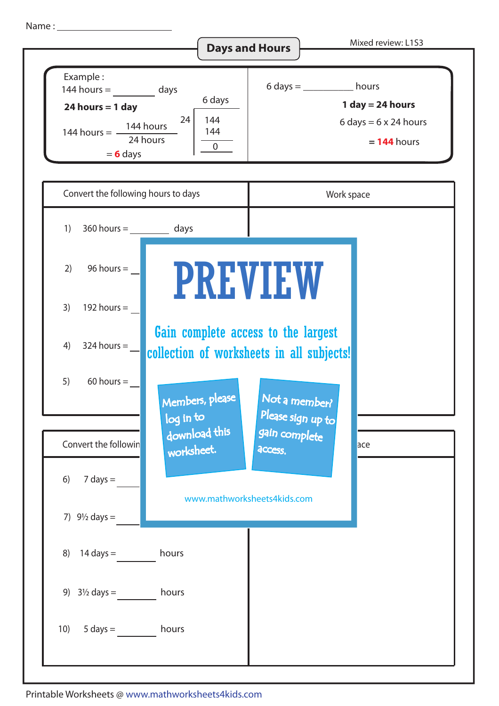Name :